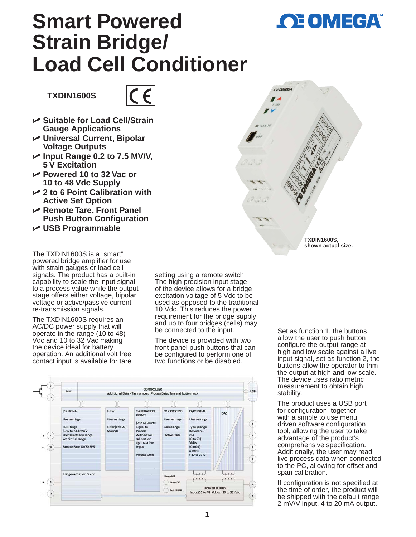

# **Smart Powered Strain Bridge/ Load Cell Conditioner**

**TXDIN1600S**



- U **Suitable for Load Cell/Strain Gauge Applications**
- U **Universal Current, Bipolar Voltage Outputs**
- U **Input Range 0.2 to 7.5 MV/V, 5 V Excitation**
- U **Powered 10 to 32 Vac or 10 to 48 Vdc Supply**
- U **2 to 6 Point Calibration with Active Set Option**
- U **Remote Tare, Front Panel Push Button Configuration**
- U **USB Programmable**

The TXDIN1600S is a "smart" powered bridge amplifier for use with strain gauges or load cell signals. The product has a built-in capability to scale the input signal to a process value while the output stage offers either voltage, bipolar voltage or active/passive current re-transmission signals.

The TXDIN1600S requires an AC/DC power supply that will operate in the range (10 to 48) Vdc and 10 to 32 Vac making the device ideal for battery operation. An additional volt free contact input is available for tare

setting using a remote switch. The high precision input stage of the device allows for a bridge excitation voltage of 5 Vdc to be used as opposed to the traditional 10 Vdc. This reduces the power requirement for the bridge supply and up to four bridges (cells) may be connected to the input.

The device is provided with two front panel push buttons that can be configured to perform one of two functions or be disabled.



Set as function 1, the buttons allow the user to push button configure the output range at high and low scale against a live input signal, set as function 2, the buttons allow the operator to trim the output at high and low scale. The device uses ratio metric measurement to obtain high stability.

**TXDIN1600S, shown actual size.**

The product uses a USB port for configuration, together with a simple to use menu driven software configuration tool, allowing the user to take advantage of the product's comprehensive specification. Additionally, the user may read live process data when connected to the PC, allowing for offset and span calibration.

If configuration is not specified at the time of order, the product will be shipped with the default range 2 mV/V input, 4 to 20 mA output.

**1**